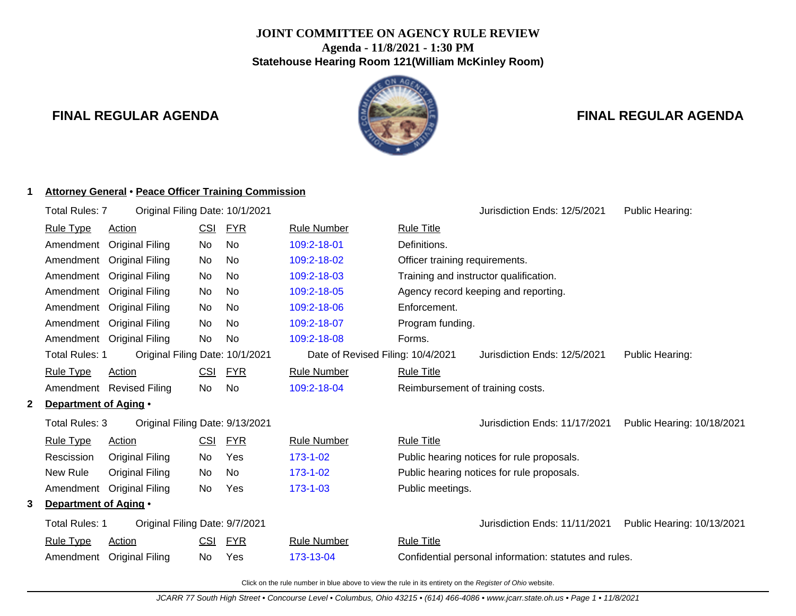## **JOINT COMMITTEE ON AGENCY RULE REVIEW Agenda - 11/8/2021 - 1:30 PM Statehouse Hearing Room 121(William McKinley Room)**

**1 Attorney General** • **Peace Officer Training Commission**



## **FINAL REGULAR AGENDA FINAL REGULAR AGENDA**

# Total Rules: 7 Original Filing Date: 10/1/2021 **Contained Accord Public Heart Containers** Jurisdiction Ends: 12/5/2021 Public Hearing: Rule Type Action **CSI FYR** Rule Number Rule Title Amendment Original Filing No No [109:2-18-01](http://www.registerofohio.state.oh.us/jsps/publicdisplayrules/processPublicDisplayRules.jsp?entered_rule_no=109:2-18-01&doWhat=GETBYRULENUM&raID=0) Definitions. Amendment Original Filing No No [109:2-18-02](http://www.registerofohio.state.oh.us/jsps/publicdisplayrules/processPublicDisplayRules.jsp?entered_rule_no=109:2-18-02&doWhat=GETBYRULENUM&raID=0) Officer training requirements. Amendment Original Filing No No [109:2-18-03](http://www.registerofohio.state.oh.us/jsps/publicdisplayrules/processPublicDisplayRules.jsp?entered_rule_no=109:2-18-03&doWhat=GETBYRULENUM&raID=0) Training and instructor qualification. Amendment Original Filing No No [109:2-18-05](http://www.registerofohio.state.oh.us/jsps/publicdisplayrules/processPublicDisplayRules.jsp?entered_rule_no=109:2-18-05&doWhat=GETBYRULENUM&raID=0) Agency record keeping and reporting. Amendment Original Filing No No [109:2-18-06](http://www.registerofohio.state.oh.us/jsps/publicdisplayrules/processPublicDisplayRules.jsp?entered_rule_no=109:2-18-06&doWhat=GETBYRULENUM&raID=0) Enforcement. Amendment Original Filing No No [109:2-18-07](http://www.registerofohio.state.oh.us/jsps/publicdisplayrules/processPublicDisplayRules.jsp?entered_rule_no=109:2-18-07&doWhat=GETBYRULENUM&raID=0) Program funding. Amendment Original Filing No No [109:2-18-08](http://www.registerofohio.state.oh.us/jsps/publicdisplayrules/processPublicDisplayRules.jsp?entered_rule_no=109:2-18-08&doWhat=GETBYRULENUM&raID=0) Forms. Total Rules: 1 Original Filing Date: 10/1/2021 Date of Revised Filing: 10/4/2021 Jurisdiction Ends: 12/5/2021 Public Hearing: Rule Type Action CSI FYR Rule Number Rule Title Amendment Revised Filing No No [109:2-18-04](http://www.registerofohio.state.oh.us/jsps/publicdisplayrules/processPublicDisplayRules.jsp?entered_rule_no=109:2-18-04&doWhat=GETBYRULENUM&raID=0) Reimbursement of training costs. **2 Department of Aging** • Total Rules: 3 Original Filing Date: 9/13/2021 Jurisdiction Ends: 11/17/2021 Public Hearing: 10/18/2021 Rule Type Action **CSI FYR** Rule Number Rule Title Rescission Original Filing No Yes [173-1-02](http://www.registerofohio.state.oh.us/jsps/publicdisplayrules/processPublicDisplayRules.jsp?entered_rule_no=173-1-02&doWhat=GETBYRULENUM&raID=0) Public hearing notices for rule proposals. New Rule Original Filing No No [173-1-02](http://www.registerofohio.state.oh.us/jsps/publicdisplayrules/processPublicDisplayRules.jsp?entered_rule_no=173-1-02&doWhat=GETBYRULENUM&raID=0) Public hearing notices for rule proposals. Amendment Original Filing No Yes [173-1-03](http://www.registerofohio.state.oh.us/jsps/publicdisplayrules/processPublicDisplayRules.jsp?entered_rule_no=173-1-03&doWhat=GETBYRULENUM&raID=0) Public meetings. **3 Department of Aging** • Total Rules: 1 Original Filing Date: 9/7/2021 Jurisdiction Ends: 11/11/2021 Public Hearing: 10/13/2021 Rule Type Action **CSI FYR** Rule Number Rule Title Amendment Original Filing No Yes [173-13-04](http://www.registerofohio.state.oh.us/jsps/publicdisplayrules/processPublicDisplayRules.jsp?entered_rule_no=173-13-04&doWhat=GETBYRULENUM&raID=0) Confidential personal information: statutes and rules.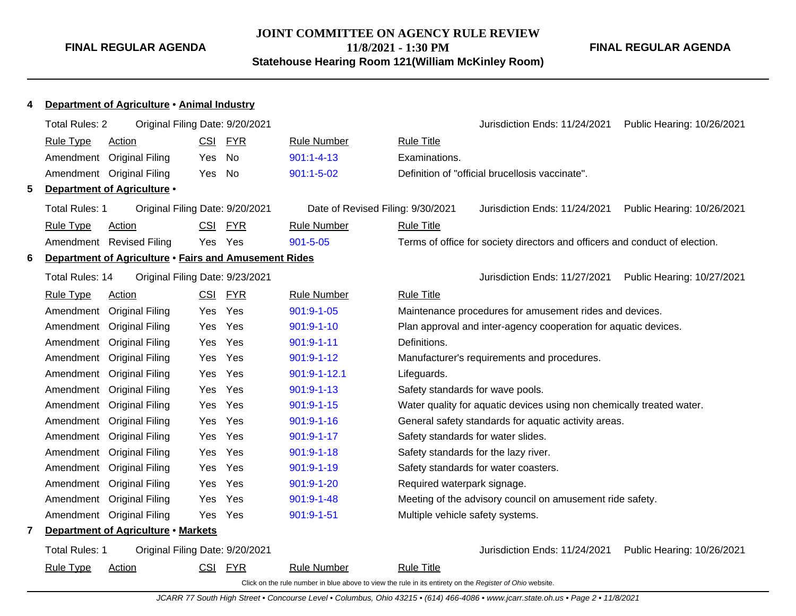# **JOINT COMMITTEE ON AGENCY RULE REVIEW 11/8/2021 - 1:30 PM**

**Statehouse Hearing Room 121(William McKinley Room)**

|    | Department of Agriculture • Animal Industry           |                                 |            |                                   |                                                                                                          |                            |
|----|-------------------------------------------------------|---------------------------------|------------|-----------------------------------|----------------------------------------------------------------------------------------------------------|----------------------------|
|    | Total Rules: 2                                        | Original Filing Date: 9/20/2021 |            |                                   | Jurisdiction Ends: 11/24/2021                                                                            | Public Hearing: 10/26/2021 |
|    | <b>Rule Type</b><br><b>Action</b>                     |                                 | CSI FYR    | <b>Rule Number</b>                | <b>Rule Title</b>                                                                                        |                            |
|    | Amendment                                             | <b>Original Filing</b><br>Yes   | No         | $901:1 - 4 - 13$                  | Examinations.                                                                                            |                            |
|    | Amendment Original Filing                             | Yes                             | No         | $901:1 - 5 - 02$                  | Definition of "official brucellosis vaccinate".                                                          |                            |
| 5. | Department of Agriculture .                           |                                 |            |                                   |                                                                                                          |                            |
|    | Total Rules: 1                                        | Original Filing Date: 9/20/2021 |            | Date of Revised Filing: 9/30/2021 | Jurisdiction Ends: 11/24/2021 Public Hearing: 10/26/2021                                                 |                            |
|    | <b>Rule Type</b><br>Action                            |                                 | CSI FYR    | <b>Rule Number</b>                | <b>Rule Title</b>                                                                                        |                            |
|    | Amendment Revised Filing                              | Yes                             | Yes        | $901 - 5 - 05$                    | Terms of office for society directors and officers and conduct of election.                              |                            |
| 6  | Department of Agriculture . Fairs and Amusement Rides |                                 |            |                                   |                                                                                                          |                            |
|    | Total Rules: 14                                       | Original Filing Date: 9/23/2021 |            |                                   | Jurisdiction Ends: 11/27/2021                                                                            | Public Hearing: 10/27/2021 |
|    | <b>Rule Type</b><br><b>Action</b>                     |                                 | CSI FYR    | <b>Rule Number</b>                | <b>Rule Title</b>                                                                                        |                            |
|    | Amendment                                             | <b>Original Filing</b><br>Yes   | Yes        | 901:9-1-05                        | Maintenance procedures for amusement rides and devices.                                                  |                            |
|    | Amendment                                             | <b>Original Filing</b><br>Yes   | Yes        | $901:9 - 1 - 10$                  | Plan approval and inter-agency cooperation for aquatic devices.                                          |                            |
|    | Amendment                                             | <b>Original Filing</b><br>Yes   | Yes        | $901:9 - 1 - 11$                  | Definitions.                                                                                             |                            |
|    | Amendment                                             | <b>Original Filing</b><br>Yes   | Yes        | $901:9 - 1 - 12$                  | Manufacturer's requirements and procedures.                                                              |                            |
|    | Amendment                                             | <b>Original Filing</b><br>Yes   | Yes        | 901:9-1-12.1                      | Lifeguards.                                                                                              |                            |
|    | Amendment                                             | <b>Original Filing</b><br>Yes.  | Yes        | $901:9 - 1 - 13$                  | Safety standards for wave pools.                                                                         |                            |
|    | Amendment                                             | <b>Original Filing</b><br>Yes.  | Yes        | $901:9 - 1 - 15$                  | Water quality for aquatic devices using non chemically treated water.                                    |                            |
|    | Amendment                                             | <b>Original Filing</b><br>Yes   | Yes        | $901:9 - 1 - 16$                  | General safety standards for aquatic activity areas.                                                     |                            |
|    | Amendment                                             | <b>Original Filing</b><br>Yes   | Yes        | 901:9-1-17                        | Safety standards for water slides.                                                                       |                            |
|    | Amendment                                             | <b>Original Filing</b><br>Yes   | Yes        | $901:9 - 1 - 18$                  | Safety standards for the lazy river.                                                                     |                            |
|    | Amendment Original Filing                             | Yes                             | Yes        | $901:9 - 1 - 19$                  | Safety standards for water coasters.                                                                     |                            |
|    | Amendment Original Filing                             | Yes.                            | Yes        | $901:9 - 1 - 20$                  | Required waterpark signage.                                                                              |                            |
|    | Amendment                                             | <b>Original Filing</b><br>Yes   | Yes        | 901:9-1-48                        | Meeting of the advisory council on amusement ride safety.                                                |                            |
|    | Amendment Original Filing                             | Yes                             | Yes        | 901:9-1-51                        | Multiple vehicle safety systems.                                                                         |                            |
| 7  | Department of Agriculture • Markets                   |                                 |            |                                   |                                                                                                          |                            |
|    | <b>Total Rules: 1</b>                                 | Original Filing Date: 9/20/2021 |            |                                   | Jurisdiction Ends: 11/24/2021                                                                            | Public Hearing: 10/26/2021 |
|    | <b>Rule Type</b><br>Action                            | <b>CSI</b>                      | <u>FYR</u> | <b>Rule Number</b>                | <b>Rule Title</b>                                                                                        |                            |
|    |                                                       |                                 |            |                                   | Click on the rule number in blue above to view the rule in its entirety on the Register of Ohio website. |                            |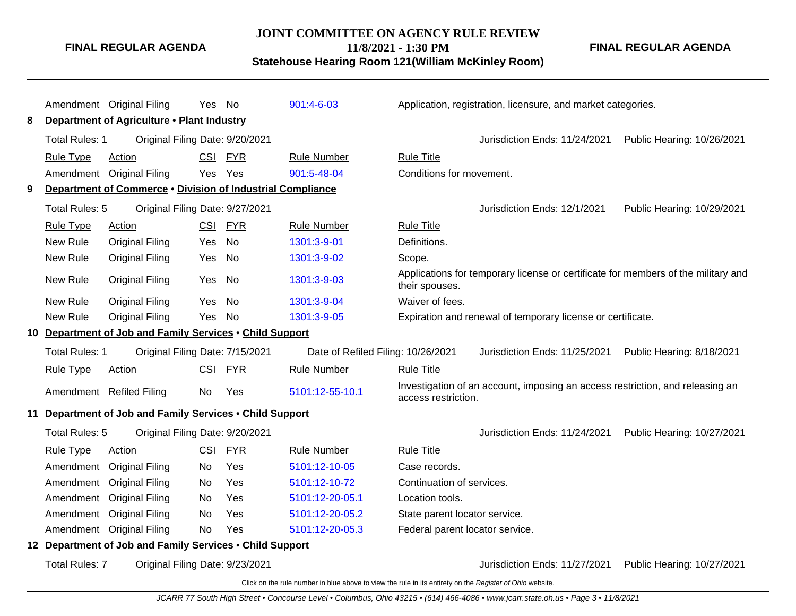## **JOINT COMMITTEE ON AGENCY RULE REVIEW**

**FINAL REGULAR AGENDA**

**11/8/2021 - 1:30 PM**

**Statehouse Hearing Room 121(William McKinley Room)**

|   |                       | Amendment Original Filing<br>Department of Agriculture . Plant Industry | Yes No     |            | $901:4-6-03$                       |                                 | Application, registration, licensure, and market categories.                      |                            |
|---|-----------------------|-------------------------------------------------------------------------|------------|------------|------------------------------------|---------------------------------|-----------------------------------------------------------------------------------|----------------------------|
| 8 |                       |                                                                         |            |            |                                    |                                 |                                                                                   |                            |
|   | <b>Total Rules: 1</b> | Original Filing Date: 9/20/2021                                         |            |            |                                    |                                 | Jurisdiction Ends: 11/24/2021                                                     | Public Hearing: 10/26/2021 |
|   | <b>Rule Type</b>      | Action                                                                  | <b>CSI</b> | <b>FYR</b> | <b>Rule Number</b>                 | <b>Rule Title</b>               |                                                                                   |                            |
|   |                       | Amendment Original Filing                                               | Yes.       | Yes        | 901:5-48-04                        | Conditions for movement.        |                                                                                   |                            |
| 9 |                       | Department of Commerce . Division of Industrial Compliance              |            |            |                                    |                                 |                                                                                   |                            |
|   | Total Rules: 5        | Original Filing Date: 9/27/2021                                         |            |            |                                    |                                 | Jurisdiction Ends: 12/1/2021                                                      | Public Hearing: 10/29/2021 |
|   | <b>Rule Type</b>      | <b>Action</b>                                                           |            | CSI FYR    | <b>Rule Number</b>                 | <b>Rule Title</b>               |                                                                                   |                            |
|   | New Rule              | <b>Original Filing</b>                                                  | Yes        | No         | 1301:3-9-01                        | Definitions.                    |                                                                                   |                            |
|   | New Rule              | <b>Original Filing</b>                                                  | Yes        | No         | 1301:3-9-02                        | Scope.                          |                                                                                   |                            |
|   | New Rule              | <b>Original Filing</b>                                                  | Yes        | No.        | 1301:3-9-03                        | their spouses.                  | Applications for temporary license or certificate for members of the military and |                            |
|   | New Rule              | <b>Original Filing</b>                                                  | Yes        | No         | 1301:3-9-04                        | Waiver of fees.                 |                                                                                   |                            |
|   | New Rule              | <b>Original Filing</b>                                                  | Yes        | <b>No</b>  | 1301:3-9-05                        |                                 | Expiration and renewal of temporary license or certificate.                       |                            |
|   |                       | 10 Department of Job and Family Services . Child Support                |            |            |                                    |                                 |                                                                                   |                            |
|   | Total Rules: 1        | Original Filing Date: 7/15/2021                                         |            |            | Date of Refiled Filing: 10/26/2021 |                                 | Jurisdiction Ends: 11/25/2021                                                     | Public Hearing: 8/18/2021  |
|   | <b>Rule Type</b>      | <b>Action</b>                                                           | CSI        | <u>FYR</u> | <b>Rule Number</b>                 | <b>Rule Title</b>               |                                                                                   |                            |
|   |                       | Amendment Refiled Filing                                                | No.        | Yes        | 5101:12-55-10.1                    | access restriction.             | Investigation of an account, imposing an access restriction, and releasing an     |                            |
|   |                       | 11 Department of Job and Family Services . Child Support                |            |            |                                    |                                 |                                                                                   |                            |
|   | Total Rules: 5        | Original Filing Date: 9/20/2021                                         |            |            |                                    |                                 | Jurisdiction Ends: 11/24/2021                                                     | Public Hearing: 10/27/2021 |
|   | <b>Rule Type</b>      | Action                                                                  | <b>CSI</b> | <b>FYR</b> | <b>Rule Number</b>                 | <b>Rule Title</b>               |                                                                                   |                            |
|   | Amendment             | <b>Original Filing</b>                                                  | No.        | Yes        | 5101:12-10-05                      | Case records.                   |                                                                                   |                            |
|   | Amendment             | <b>Original Filing</b>                                                  | No.        | Yes        | 5101:12-10-72                      | Continuation of services.       |                                                                                   |                            |
|   | Amendment             | <b>Original Filing</b>                                                  | No         | Yes        | 5101:12-20-05.1                    | Location tools.                 |                                                                                   |                            |
|   | Amendment             | <b>Original Filing</b>                                                  | No.        | Yes        | 5101:12-20-05.2                    | State parent locator service.   |                                                                                   |                            |
|   |                       | Amendment Original Filing                                               | <b>No</b>  | Yes        | 5101:12-20-05.3                    | Federal parent locator service. |                                                                                   |                            |
|   |                       |                                                                         |            |            |                                    |                                 |                                                                                   |                            |
|   |                       | 12 Department of Job and Family Services . Child Support                |            |            |                                    |                                 |                                                                                   |                            |
|   | <b>Total Rules: 7</b> | Original Filing Date: 9/23/2021                                         |            |            |                                    |                                 | Jurisdiction Ends: 11/27/2021                                                     | Public Hearing: 10/27/2021 |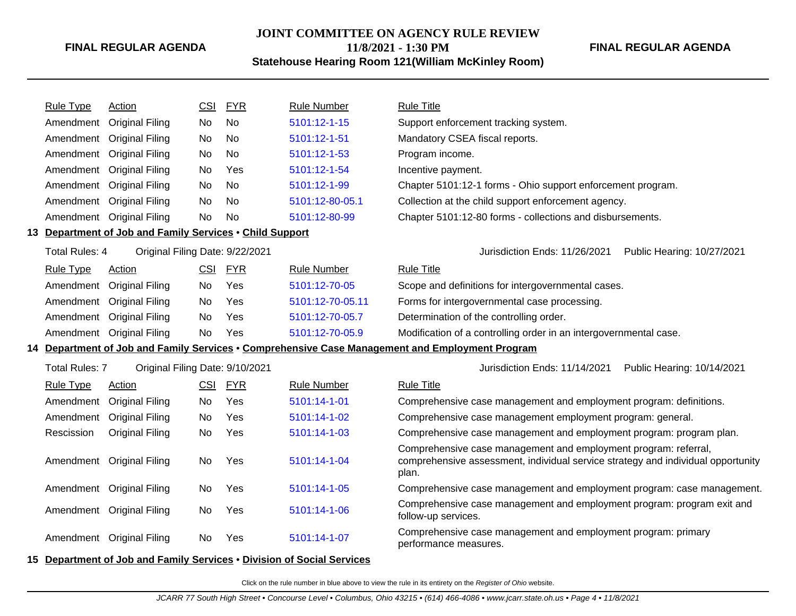#### **JOINT COMMITTEE ON AGENCY RULE REVIEW 11/8/2021 - 1:30 PM**

**Statehouse Hearing Room 121(William McKinley Room)**

**FINAL REGULAR AGENDA**

| <b>Rule Type</b>      | Action                                                   | <b>CSI</b> | <b>FYR</b> | <b>Rule Number</b> | <b>Rule Title</b>                                                                                                                                            |
|-----------------------|----------------------------------------------------------|------------|------------|--------------------|--------------------------------------------------------------------------------------------------------------------------------------------------------------|
|                       | Amendment Original Filing                                | No         | <b>No</b>  | 5101:12-1-15       | Support enforcement tracking system.                                                                                                                         |
|                       | Amendment Original Filing                                | No         | No         | 5101:12-1-51       | Mandatory CSEA fiscal reports.                                                                                                                               |
|                       | Amendment Original Filing                                | No         | No         | 5101:12-1-53       | Program income.                                                                                                                                              |
|                       | Amendment Original Filing                                | No         | Yes        | 5101:12-1-54       | Incentive payment.                                                                                                                                           |
|                       | Amendment Original Filing                                | <b>No</b>  | No.        | 5101:12-1-99       | Chapter 5101:12-1 forms - Ohio support enforcement program.                                                                                                  |
|                       | Amendment Original Filing                                | No         | <b>No</b>  | 5101:12-80-05.1    | Collection at the child support enforcement agency.                                                                                                          |
|                       | Amendment Original Filing                                | No         | No         | 5101:12-80-99      | Chapter 5101:12-80 forms - collections and disbursements.                                                                                                    |
|                       | 13 Department of Job and Family Services . Child Support |            |            |                    |                                                                                                                                                              |
| <b>Total Rules: 4</b> | Original Filing Date: 9/22/2021                          |            |            |                    | Jurisdiction Ends: 11/26/2021<br>Public Hearing: 10/27/2021                                                                                                  |
| <b>Rule Type</b>      | Action                                                   | CSI        | <b>FYR</b> | <b>Rule Number</b> | <b>Rule Title</b>                                                                                                                                            |
|                       | Amendment Original Filing                                | No         | Yes        | 5101:12-70-05      | Scope and definitions for intergovernmental cases.                                                                                                           |
|                       | Amendment Original Filing                                | No         | Yes        | 5101:12-70-05.11   | Forms for intergovernmental case processing.                                                                                                                 |
|                       | Amendment Original Filing                                | No         | Yes        | 5101:12-70-05.7    | Determination of the controlling order.                                                                                                                      |
|                       | Amendment Original Filing                                | No         | Yes        | 5101:12-70-05.9    | Modification of a controlling order in an intergovernmental case.                                                                                            |
|                       |                                                          |            |            |                    | 14 Department of Job and Family Services • Comprehensive Case Management and Employment Program                                                              |
| <b>Total Rules: 7</b> | Original Filing Date: 9/10/2021                          |            |            |                    | Jurisdiction Ends: 11/14/2021<br>Public Hearing: 10/14/2021                                                                                                  |
| <b>Rule Type</b>      | <b>Action</b>                                            | <u>CSI</u> | <b>FYR</b> | <b>Rule Number</b> | <b>Rule Title</b>                                                                                                                                            |
|                       | Amendment Original Filing                                | No.        | Yes        | 5101:14-1-01       | Comprehensive case management and employment program: definitions.                                                                                           |
|                       | Amendment Original Filing                                | No         | Yes        | 5101:14-1-02       | Comprehensive case management employment program: general.                                                                                                   |
| Rescission            | <b>Original Filing</b>                                   | No         | Yes        | 5101:14-1-03       | Comprehensive case management and employment program: program plan.                                                                                          |
|                       | Amendment Original Filing                                | No         | Yes        | 5101:14-1-04       | Comprehensive case management and employment program: referral,<br>comprehensive assessment, individual service strategy and individual opportunity<br>plan. |
|                       | Amendment Original Filing                                | No         | <b>Yes</b> | 5101:14-1-05       | Comprehensive case management and employment program: case management.                                                                                       |
|                       | Amendment Original Filing                                | No         | Yes        | 5101:14-1-06       | Comprehensive case management and employment program: program exit and<br>follow-up services.                                                                |
|                       | Amendment Original Filing                                | No.        | Yes        | 5101:14-1-07       | Comprehensive case management and employment program: primary<br>performance measures.                                                                       |

#### **15 Department of Job and Family Services** • **Division of Social Services**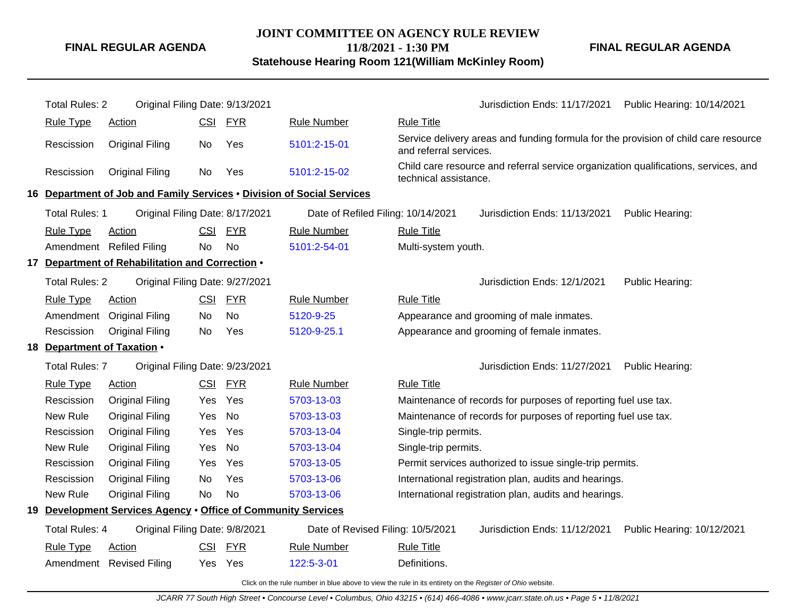#### **JOINT COMMITTEE ON AGENCY RULE REVIEW 11/8/2021 - 1:30 PM Statehouse Hearing Room 121(William McKinley Room)**

**FINAL REGULAR AGENDA**

Total Rules: 2 Original Filing Date: 9/13/2021 Jurisdiction Ends: 11/17/2021 Public Hearing: 10/14/2021 Rule Type Action **CSI FYR** Rule Number Rule Title Rescission Original Filing No Yes [5101:2-15-01](http://www.registerofohio.state.oh.us/jsps/publicdisplayrules/processPublicDisplayRules.jsp?entered_rule_no=5101:2-15-01&doWhat=GETBYRULENUM&raID=0) Service delivery areas and funding formula for the provision of child care resource and referral services. Rescission Original Filing No Yes [5101:2-15-02](http://www.registerofohio.state.oh.us/jsps/publicdisplayrules/processPublicDisplayRules.jsp?entered_rule_no=5101:2-15-02&doWhat=GETBYRULENUM&raID=0) Child care resource and referral service organization qualifications, services, and technical assistance. **16 Department of Job and Family Services** • **Division of Social Services** Total Rules: 1 Original Filing Date: 8/17/2021 Date of Refiled Filing: 10/14/2021 Jurisdiction Ends: 11/13/2021 Public Hearing: Rule Type Action **CSI FYR** Rule Number Rule Title Amendment Refiled Filing No No [5101:2-54-01](http://www.registerofohio.state.oh.us/jsps/publicdisplayrules/processPublicDisplayRules.jsp?entered_rule_no=5101:2-54-01&doWhat=GETBYRULENUM&raID=0) Multi-system youth. **17 Department of Rehabilitation and Correction** • Total Rules: 2 Original Filing Date: 9/27/2021 **Contact Act Contact Act Contact Act Contact Act Contact Act Contact Act Contact Act Contact Public Hearing: Total Rules: 12/1/2021 Public Hearing:** Rule Type Action **CSI FYR** Rule Number Rule Title Amendment Original Filing No No [5120-9-25](http://www.registerofohio.state.oh.us/jsps/publicdisplayrules/processPublicDisplayRules.jsp?entered_rule_no=5120-9-25&doWhat=GETBYRULENUM&raID=0) Appearance and grooming of male inmates. Rescission Original Filing No Yes [5120-9-25.1](http://www.registerofohio.state.oh.us/jsps/publicdisplayrules/processPublicDisplayRules.jsp?entered_rule_no=5120-9-25.1&doWhat=GETBYRULENUM&raID=0) Appearance and grooming of female inmates. **18 Department of Taxation** • Total Rules: 7 Original Filing Date: 9/23/2021 **Contact Contact Accord Public Heart Contact Contact Accord Public Hearing:** Rule Type Action **CSI FYR** Rule Number Rule Title Rescission Original Filing Yes Yes [5703-13-03](http://www.registerofohio.state.oh.us/jsps/publicdisplayrules/processPublicDisplayRules.jsp?entered_rule_no=5703-13-03&doWhat=GETBYRULENUM&raID=0) Maintenance of records for purposes of reporting fuel use tax. New Rule Original Filing Yes No [5703-13-03](http://www.registerofohio.state.oh.us/jsps/publicdisplayrules/processPublicDisplayRules.jsp?entered_rule_no=5703-13-03&doWhat=GETBYRULENUM&raID=0) Maintenance of records for purposes of reporting fuel use tax. Rescission Original Filing Yes Yes [5703-13-04](http://www.registerofohio.state.oh.us/jsps/publicdisplayrules/processPublicDisplayRules.jsp?entered_rule_no=5703-13-04&doWhat=GETBYRULENUM&raID=0) Single-trip permits. New Rule Original Filing Yes No [5703-13-04](http://www.registerofohio.state.oh.us/jsps/publicdisplayrules/processPublicDisplayRules.jsp?entered_rule_no=5703-13-04&doWhat=GETBYRULENUM&raID=0) Single-trip permits. Rescission Original Filing Yes Yes [5703-13-05](http://www.registerofohio.state.oh.us/jsps/publicdisplayrules/processPublicDisplayRules.jsp?entered_rule_no=5703-13-05&doWhat=GETBYRULENUM&raID=0) Permit services authorized to issue single-trip permits. Rescission Original Filing No Yes [5703-13-06](http://www.registerofohio.state.oh.us/jsps/publicdisplayrules/processPublicDisplayRules.jsp?entered_rule_no=5703-13-06&doWhat=GETBYRULENUM&raID=0) International registration plan, audits and hearings. New Rule Original Filing No No [5703-13-06](http://www.registerofohio.state.oh.us/jsps/publicdisplayrules/processPublicDisplayRules.jsp?entered_rule_no=5703-13-06&doWhat=GETBYRULENUM&raID=0) International registration plan, audits and hearings. **19 Development Services Agency** • **Office of Community Services** Total Rules: 4 Original Filing Date: 9/8/2021 Date of Revised Filing: 10/5/2021 Jurisdiction Ends: 11/12/2021 Public Hearing: 10/12/2021 Rule Type Action CSI FYR Rule Number Rule Title Amendment Revised Filing Yes Yes [122:5-3-01](http://www.registerofohio.state.oh.us/jsps/publicdisplayrules/processPublicDisplayRules.jsp?entered_rule_no=122:5-3-01&doWhat=GETBYRULENUM&raID=0) Definitions.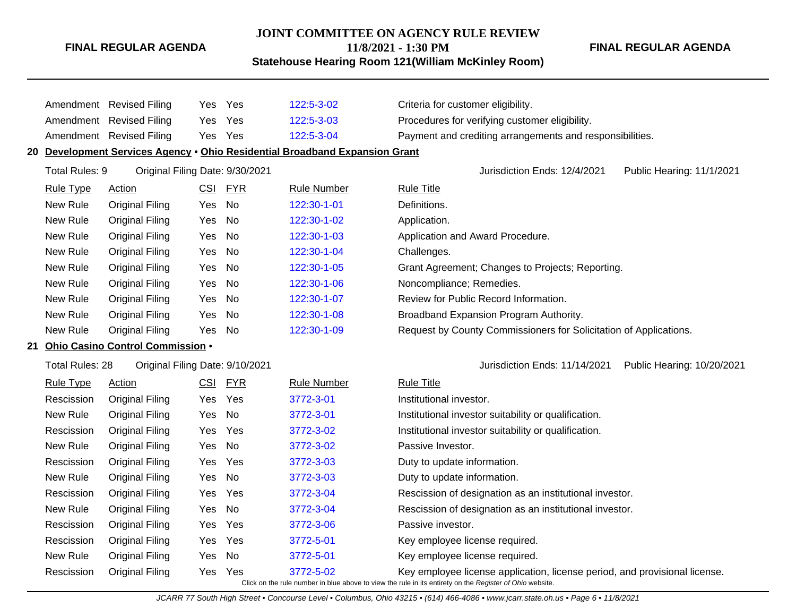#### **JOINT COMMITTEE ON AGENCY RULE REVIEW**

**11/8/2021 - 1:30 PM**

**Statehouse Hearing Room 121(William McKinley Room)**

|    |                        | Amendment Revised Filing         | Yes | Yes        | 122:5-3-02                                                                  | Criteria for customer eligibility.                                                                       |
|----|------------------------|----------------------------------|-----|------------|-----------------------------------------------------------------------------|----------------------------------------------------------------------------------------------------------|
|    |                        | Amendment Revised Filing         | Yes | Yes        | 122:5-3-03                                                                  | Procedures for verifying customer eligibility.                                                           |
|    |                        | Amendment Revised Filing         | Yes | Yes        | 122:5-3-04                                                                  | Payment and crediting arrangements and responsibilities.                                                 |
|    |                        |                                  |     |            | 20 Development Services Agency . Ohio Residential Broadband Expansion Grant |                                                                                                          |
|    | Total Rules: 9         | Original Filing Date: 9/30/2021  |     |            |                                                                             | Jurisdiction Ends: 12/4/2021<br>Public Hearing: 11/1/2021                                                |
|    | <b>Rule Type</b>       | <b>Action</b>                    | CSI | <b>FYR</b> | <b>Rule Number</b>                                                          | <b>Rule Title</b>                                                                                        |
|    | New Rule               | <b>Original Filing</b>           | Yes | <b>No</b>  | 122:30-1-01                                                                 | Definitions.                                                                                             |
|    | New Rule               | <b>Original Filing</b>           | Yes | No         | 122:30-1-02                                                                 | Application.                                                                                             |
|    | New Rule               | <b>Original Filing</b>           | Yes | <b>No</b>  | 122:30-1-03                                                                 | Application and Award Procedure.                                                                         |
|    | New Rule               | <b>Original Filing</b>           | Yes | No         | 122:30-1-04                                                                 | Challenges.                                                                                              |
|    | New Rule               | <b>Original Filing</b>           | Yes | No         | 122:30-1-05                                                                 | Grant Agreement; Changes to Projects; Reporting.                                                         |
|    | New Rule               | <b>Original Filing</b>           | Yes | No         | 122:30-1-06                                                                 | Noncompliance; Remedies.                                                                                 |
|    | New Rule               | <b>Original Filing</b>           | Yes | No         | 122:30-1-07                                                                 | Review for Public Record Information.                                                                    |
|    | New Rule               | <b>Original Filing</b>           | Yes | No         | 122:30-1-08                                                                 | Broadband Expansion Program Authority.                                                                   |
|    | New Rule               | <b>Original Filing</b>           | Yes | No         | 122:30-1-09                                                                 | Request by County Commissioners for Solicitation of Applications.                                        |
| 21 |                        | Ohio Casino Control Commission . |     |            |                                                                             |                                                                                                          |
|    | <b>Total Rules: 28</b> | Original Filing Date: 9/10/2021  |     |            |                                                                             | Public Hearing: 10/20/2021<br>Jurisdiction Ends: 11/14/2021                                              |
|    | <b>Rule Type</b>       | <b>Action</b>                    | CSI | <b>FYR</b> | <b>Rule Number</b>                                                          | <b>Rule Title</b>                                                                                        |
|    | Rescission             | <b>Original Filing</b>           | Yes | Yes        | 3772-3-01                                                                   | Institutional investor.                                                                                  |
|    | New Rule               | <b>Original Filing</b>           | Yes | <b>No</b>  | 3772-3-01                                                                   | Institutional investor suitability or qualification.                                                     |
|    | Rescission             | <b>Original Filing</b>           | Yes | Yes        | 3772-3-02                                                                   | Institutional investor suitability or qualification.                                                     |
|    | New Rule               | <b>Original Filing</b>           | Yes | <b>No</b>  | 3772-3-02                                                                   | Passive Investor.                                                                                        |
|    | Rescission             | <b>Original Filing</b>           | Yes | Yes        | 3772-3-03                                                                   | Duty to update information.                                                                              |
|    | New Rule               | <b>Original Filing</b>           | Yes | No         | 3772-3-03                                                                   | Duty to update information.                                                                              |
|    | Rescission             | <b>Original Filing</b>           | Yes | Yes        | 3772-3-04                                                                   | Rescission of designation as an institutional investor.                                                  |
|    | New Rule               | <b>Original Filing</b>           | Yes | <b>No</b>  | 3772-3-04                                                                   | Rescission of designation as an institutional investor.                                                  |
|    | Rescission             | <b>Original Filing</b>           | Yes | Yes        | 3772-3-06                                                                   | Passive investor.                                                                                        |
|    | Rescission             | <b>Original Filing</b>           | Yes | Yes        | 3772-5-01                                                                   | Key employee license required.                                                                           |
|    | New Rule               | <b>Original Filing</b>           | Yes | No         | 3772-5-01                                                                   | Key employee license required.                                                                           |
|    | Rescission             | <b>Original Filing</b>           | Yes | Yes        | 3772-5-02                                                                   | Key employee license application, license period, and provisional license.                               |
|    |                        |                                  |     |            |                                                                             | Click on the rule number in blue above to view the rule in its entirety on the Register of Ohio website. |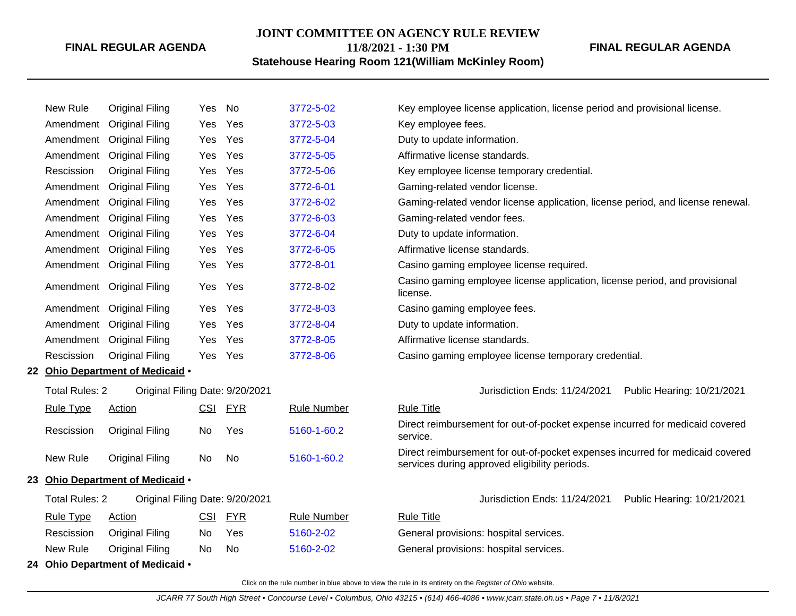#### **JOINT COMMITTEE ON AGENCY RULE REVIEW**

**11/8/2021 - 1:30 PM**

## **Statehouse Hearing Room 121(William McKinley Room)**

**FINAL REGULAR AGENDA**

| New Rule              | <b>Original Filing</b>           | Yes | No         | 3772-5-02          | Key employee license application, license period and provisional license.                                                      |  |  |
|-----------------------|----------------------------------|-----|------------|--------------------|--------------------------------------------------------------------------------------------------------------------------------|--|--|
| Amendment             | <b>Original Filing</b>           | Yes | Yes        | 3772-5-03          | Key employee fees.                                                                                                             |  |  |
| Amendment             | <b>Original Filing</b>           | Yes | Yes        | 3772-5-04          | Duty to update information.                                                                                                    |  |  |
| Amendment             | <b>Original Filing</b>           | Yes | Yes        | 3772-5-05          | Affirmative license standards.                                                                                                 |  |  |
| Rescission            | <b>Original Filing</b>           | Yes | Yes        | 3772-5-06          | Key employee license temporary credential.                                                                                     |  |  |
| Amendment             | <b>Original Filing</b>           | Yes | Yes        | 3772-6-01          | Gaming-related vendor license.                                                                                                 |  |  |
| Amendment             | <b>Original Filing</b>           | Yes | Yes        | 3772-6-02          | Gaming-related vendor license application, license period, and license renewal.                                                |  |  |
| Amendment             | <b>Original Filing</b>           | Yes | Yes        | 3772-6-03          | Gaming-related vendor fees.                                                                                                    |  |  |
| Amendment             | <b>Original Filing</b>           | Yes | Yes        | 3772-6-04          | Duty to update information.                                                                                                    |  |  |
| Amendment             | <b>Original Filing</b>           | Yes | Yes        | 3772-6-05          | Affirmative license standards.                                                                                                 |  |  |
| Amendment             | <b>Original Filing</b>           | Yes | Yes        | 3772-8-01          | Casino gaming employee license required.                                                                                       |  |  |
|                       | Amendment Original Filing        | Yes | Yes        | 3772-8-02          | Casino gaming employee license application, license period, and provisional<br>license.                                        |  |  |
|                       | Amendment Original Filing        | Yes | Yes        | 3772-8-03          | Casino gaming employee fees.                                                                                                   |  |  |
| Amendment             | <b>Original Filing</b>           | Yes | Yes        | 3772-8-04          | Duty to update information.                                                                                                    |  |  |
| Amendment             | <b>Original Filing</b>           | Yes | Yes        | 3772-8-05          | Affirmative license standards.                                                                                                 |  |  |
| Rescission            | <b>Original Filing</b>           | Yes | Yes        | 3772-8-06          | Casino gaming employee license temporary credential.                                                                           |  |  |
|                       | 22 Ohio Department of Medicaid . |     |            |                    |                                                                                                                                |  |  |
| <b>Total Rules: 2</b> | Original Filing Date: 9/20/2021  |     |            |                    | Jurisdiction Ends: 11/24/2021<br>Public Hearing: 10/21/2021                                                                    |  |  |
| <b>Rule Type</b>      | <b>Action</b>                    | CSI | <b>FYR</b> | <b>Rule Number</b> | <b>Rule Title</b>                                                                                                              |  |  |
| Rescission            | <b>Original Filing</b>           | No  | Yes        | 5160-1-60.2        | Direct reimbursement for out-of-pocket expense incurred for medicaid covered<br>service.                                       |  |  |
| New Rule              | <b>Original Filing</b>           | No  | No         | 5160-1-60.2        | Direct reimbursement for out-of-pocket expenses incurred for medicaid covered<br>services during approved eligibility periods. |  |  |
|                       | 23 Ohio Department of Medicaid . |     |            |                    |                                                                                                                                |  |  |
| <b>Total Rules: 2</b> | Original Filing Date: 9/20/2021  |     |            |                    | Jurisdiction Ends: 11/24/2021<br>Public Hearing: 10/21/2021                                                                    |  |  |
| <b>Rule Type</b>      | Action                           | CSI | <b>FYR</b> | <b>Rule Number</b> | <b>Rule Title</b>                                                                                                              |  |  |
| Rescission            | <b>Original Filing</b>           | No  | Yes        | 5160-2-02          | General provisions: hospital services.                                                                                         |  |  |
| New Rule              | <b>Original Filing</b>           | No  | No.        | 5160-2-02          | General provisions: hospital services.                                                                                         |  |  |
|                       | 24 Ohio Department of Medicaid . |     |            |                    |                                                                                                                                |  |  |
|                       |                                  |     |            |                    |                                                                                                                                |  |  |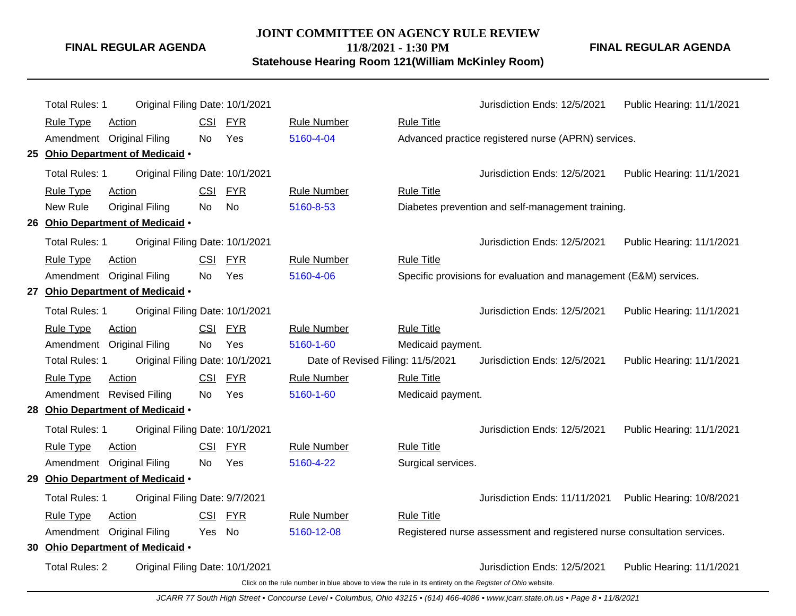#### **JOINT COMMITTEE ON AGENCY RULE REVIEW 11/8/2021 - 1:30 PM**

**Statehouse Hearing Room 121(William McKinley Room)**

|    | Total Rules: 1        | Original Filing Date: 10/1/2021  |            |            |                                                                                                          |                    | Jurisdiction Ends: 12/5/2021                                            | Public Hearing: 11/1/2021 |
|----|-----------------------|----------------------------------|------------|------------|----------------------------------------------------------------------------------------------------------|--------------------|-------------------------------------------------------------------------|---------------------------|
|    | <b>Rule Type</b>      | Action                           | <b>CSI</b> | <b>FYR</b> | <b>Rule Number</b>                                                                                       | <b>Rule Title</b>  |                                                                         |                           |
|    |                       | Amendment Original Filing        | No.        | Yes        | 5160-4-04                                                                                                |                    | Advanced practice registered nurse (APRN) services.                     |                           |
|    |                       | 25 Ohio Department of Medicaid . |            |            |                                                                                                          |                    |                                                                         |                           |
|    | Total Rules: 1        | Original Filing Date: 10/1/2021  |            |            |                                                                                                          |                    | Jurisdiction Ends: 12/5/2021                                            | Public Hearing: 11/1/2021 |
|    | <b>Rule Type</b>      | Action                           | <b>CSI</b> | <b>FYR</b> | <b>Rule Number</b>                                                                                       | <b>Rule Title</b>  |                                                                         |                           |
|    | New Rule              | <b>Original Filing</b>           | No         | No         | 5160-8-53                                                                                                |                    | Diabetes prevention and self-management training.                       |                           |
|    |                       | 26 Ohio Department of Medicaid . |            |            |                                                                                                          |                    |                                                                         |                           |
|    | <b>Total Rules: 1</b> | Original Filing Date: 10/1/2021  |            |            |                                                                                                          |                    | Jurisdiction Ends: 12/5/2021                                            | Public Hearing: 11/1/2021 |
|    | <b>Rule Type</b>      | Action                           | <u>CSI</u> | <b>FYR</b> | <b>Rule Number</b>                                                                                       | <b>Rule Title</b>  |                                                                         |                           |
|    |                       | Amendment Original Filing        | No.        | Yes        | 5160-4-06                                                                                                |                    | Specific provisions for evaluation and management (E&M) services.       |                           |
| 27 |                       | Ohio Department of Medicaid .    |            |            |                                                                                                          |                    |                                                                         |                           |
|    | Total Rules: 1        | Original Filing Date: 10/1/2021  |            |            |                                                                                                          |                    | Jurisdiction Ends: 12/5/2021                                            | Public Hearing: 11/1/2021 |
|    | <b>Rule Type</b>      | Action                           |            | CSI FYR    | <b>Rule Number</b>                                                                                       | <b>Rule Title</b>  |                                                                         |                           |
|    |                       | Amendment Original Filing        | No         | Yes        | 5160-1-60                                                                                                | Medicaid payment.  |                                                                         |                           |
|    | Total Rules: 1        | Original Filing Date: 10/1/2021  |            |            | Date of Revised Filing: 11/5/2021                                                                        |                    | Jurisdiction Ends: 12/5/2021                                            | Public Hearing: 11/1/2021 |
|    | <b>Rule Type</b>      | Action                           |            | CSI FYR    | <b>Rule Number</b>                                                                                       | <b>Rule Title</b>  |                                                                         |                           |
|    |                       | Amendment Revised Filing         | No.        | Yes        | 5160-1-60                                                                                                | Medicaid payment.  |                                                                         |                           |
|    |                       | 28 Ohio Department of Medicaid . |            |            |                                                                                                          |                    |                                                                         |                           |
|    | Total Rules: 1        | Original Filing Date: 10/1/2021  |            |            |                                                                                                          |                    | Jurisdiction Ends: 12/5/2021                                            | Public Hearing: 11/1/2021 |
|    | <b>Rule Type</b>      | Action                           |            | CSI FYR    | <b>Rule Number</b>                                                                                       | <b>Rule Title</b>  |                                                                         |                           |
|    |                       | Amendment Original Filing        | No.        | Yes        | 5160-4-22                                                                                                | Surgical services. |                                                                         |                           |
|    |                       | 29 Ohio Department of Medicaid . |            |            |                                                                                                          |                    |                                                                         |                           |
|    | Total Rules: 1        | Original Filing Date: 9/7/2021   |            |            |                                                                                                          |                    | Jurisdiction Ends: 11/11/2021                                           | Public Hearing: 10/8/2021 |
|    | <b>Rule Type</b>      | Action                           | <b>CSI</b> | <b>FYR</b> | <b>Rule Number</b>                                                                                       | <b>Rule Title</b>  |                                                                         |                           |
|    |                       | Amendment Original Filing        | Yes No     |            | 5160-12-08                                                                                               |                    | Registered nurse assessment and registered nurse consultation services. |                           |
|    |                       | 30 Ohio Department of Medicaid . |            |            |                                                                                                          |                    |                                                                         |                           |
|    | <b>Total Rules: 2</b> | Original Filing Date: 10/1/2021  |            |            |                                                                                                          |                    | Jurisdiction Ends: 12/5/2021                                            | Public Hearing: 11/1/2021 |
|    |                       |                                  |            |            | Click on the rule number in blue above to view the rule in its entirety on the Register of Ohio website. |                    |                                                                         |                           |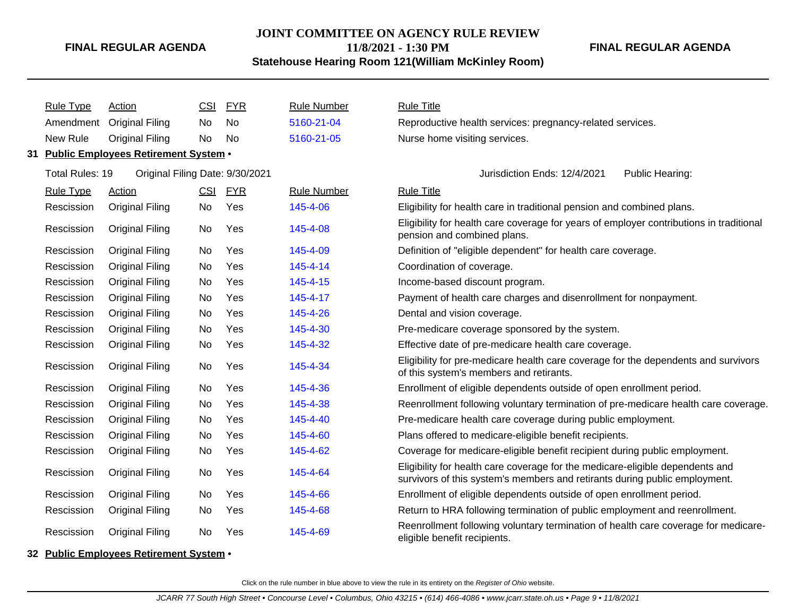## **JOINT COMMITTEE ON AGENCY RULE REVIEW**

**11/8/2021 - 1:30 PM**

#### **Statehouse Hearing Room 121(William McKinley Room)**

**FINAL REGULAR AGENDA**

| <b>Rule Type</b> | <b>Action</b>                           | <b>CSI</b> | <b>FYR</b> | <b>Rule Number</b> | <b>Rule Title</b>                                                                                                                                           |
|------------------|-----------------------------------------|------------|------------|--------------------|-------------------------------------------------------------------------------------------------------------------------------------------------------------|
| Amendment        | <b>Original Filing</b>                  | No.        | No         | 5160-21-04         | Reproductive health services: pregnancy-related services.                                                                                                   |
| New Rule         | <b>Original Filing</b>                  | No         | No.        | 5160-21-05         | Nurse home visiting services.                                                                                                                               |
|                  | 31 Public Employees Retirement System • |            |            |                    |                                                                                                                                                             |
| Total Rules: 19  | Original Filing Date: 9/30/2021         |            |            |                    | Jurisdiction Ends: 12/4/2021<br>Public Hearing:                                                                                                             |
| <b>Rule Type</b> | Action                                  | CSI        | <u>FYR</u> | <b>Rule Number</b> | <b>Rule Title</b>                                                                                                                                           |
| Rescission       | <b>Original Filing</b>                  | No         | Yes        | 145-4-06           | Eligibility for health care in traditional pension and combined plans.                                                                                      |
| Rescission       | <b>Original Filing</b>                  | No         | Yes        | 145-4-08           | Eligibility for health care coverage for years of employer contributions in traditional<br>pension and combined plans.                                      |
| Rescission       | <b>Original Filing</b>                  | No         | Yes        | 145-4-09           | Definition of "eligible dependent" for health care coverage.                                                                                                |
| Rescission       | <b>Original Filing</b>                  | No         | Yes        | 145-4-14           | Coordination of coverage.                                                                                                                                   |
| Rescission       | <b>Original Filing</b>                  | No         | Yes        | 145-4-15           | Income-based discount program.                                                                                                                              |
| Rescission       | <b>Original Filing</b>                  | No         | Yes        | 145-4-17           | Payment of health care charges and disenrollment for nonpayment.                                                                                            |
| Rescission       | <b>Original Filing</b>                  | No         | Yes        | 145-4-26           | Dental and vision coverage.                                                                                                                                 |
| Rescission       | <b>Original Filing</b>                  | No         | Yes        | 145-4-30           | Pre-medicare coverage sponsored by the system.                                                                                                              |
| Rescission       | <b>Original Filing</b>                  | No         | Yes        | 145-4-32           | Effective date of pre-medicare health care coverage.                                                                                                        |
| Rescission       | <b>Original Filing</b>                  | No         | Yes        | 145-4-34           | Eligibility for pre-medicare health care coverage for the dependents and survivors<br>of this system's members and retirants.                               |
| Rescission       | <b>Original Filing</b>                  | No         | Yes        | 145-4-36           | Enrollment of eligible dependents outside of open enrollment period.                                                                                        |
| Rescission       | <b>Original Filing</b>                  | No         | Yes        | 145-4-38           | Reenrollment following voluntary termination of pre-medicare health care coverage.                                                                          |
| Rescission       | <b>Original Filing</b>                  | No         | Yes        | 145-4-40           | Pre-medicare health care coverage during public employment.                                                                                                 |
| Rescission       | <b>Original Filing</b>                  | No         | Yes        | 145-4-60           | Plans offered to medicare-eligible benefit recipients.                                                                                                      |
| Rescission       | <b>Original Filing</b>                  | No         | Yes        | 145-4-62           | Coverage for medicare-eligible benefit recipient during public employment.                                                                                  |
| Rescission       | <b>Original Filing</b>                  | No         | Yes        | 145-4-64           | Eligibility for health care coverage for the medicare-eligible dependents and<br>survivors of this system's members and retirants during public employment. |
| Rescission       | <b>Original Filing</b>                  | No         | Yes        | 145-4-66           | Enrollment of eligible dependents outside of open enrollment period.                                                                                        |
| Rescission       | <b>Original Filing</b>                  | No         | Yes        | 145-4-68           | Return to HRA following termination of public employment and reenrollment.                                                                                  |
| Rescission       | <b>Original Filing</b>                  | No         | Yes        | 145-4-69           | Reenrollment following voluntary termination of health care coverage for medicare-<br>eligible benefit recipients.                                          |

#### **32 Public Employees Retirement System** •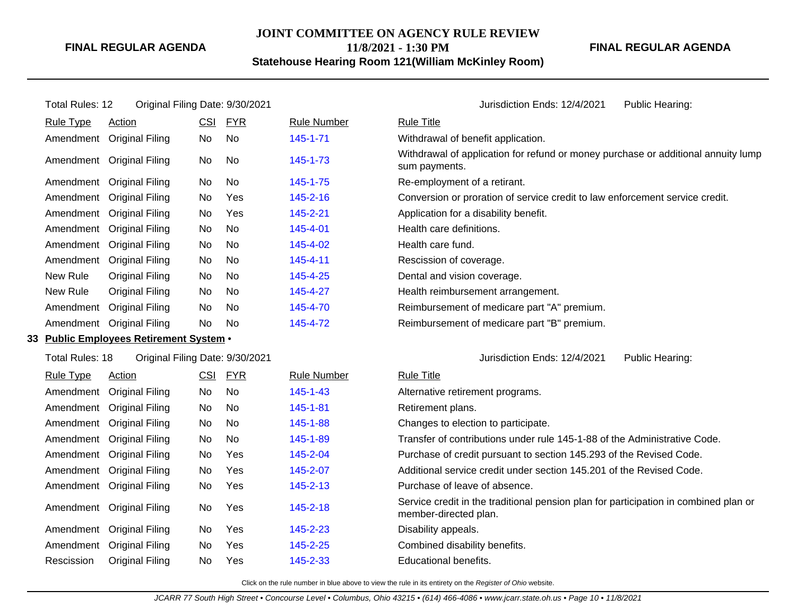## **JOINT COMMITTEE ON AGENCY RULE REVIEW**

**11/8/2021 - 1:30 PM**

**Statehouse Hearing Room 121(William McKinley Room)**

**FINAL REGULAR AGENDA**

| Total Rules: 12  | Original Filing Date: 9/30/2021         |            |            |                    | Jurisdiction Ends: 12/4/2021<br>Public Hearing:                                                               |  |  |  |
|------------------|-----------------------------------------|------------|------------|--------------------|---------------------------------------------------------------------------------------------------------------|--|--|--|
| <b>Rule Type</b> | Action                                  | CSI        | <b>FYR</b> | <b>Rule Number</b> | <b>Rule Title</b>                                                                                             |  |  |  |
|                  | Amendment Original Filing               | No         | No         | 145-1-71           | Withdrawal of benefit application.                                                                            |  |  |  |
|                  | Amendment Original Filing               | No         | No         | 145-1-73           | Withdrawal of application for refund or money purchase or additional annuity lump<br>sum payments.            |  |  |  |
|                  | Amendment Original Filing               | No         | No         | 145-1-75           | Re-employment of a retirant.                                                                                  |  |  |  |
|                  | Amendment Original Filing               | No         | Yes        | 145-2-16           | Conversion or proration of service credit to law enforcement service credit.                                  |  |  |  |
|                  | Amendment Original Filing               | No.        | Yes        | 145-2-21           | Application for a disability benefit.                                                                         |  |  |  |
|                  | Amendment Original Filing               | No         | No         | 145-4-01           | Health care definitions.                                                                                      |  |  |  |
|                  | Amendment Original Filing               | No         | No         | 145-4-02           | Health care fund.                                                                                             |  |  |  |
|                  | Amendment Original Filing               | No.        | No         | 145-4-11           | Rescission of coverage.                                                                                       |  |  |  |
| New Rule         | Original Filing                         | No         | No         | 145-4-25           | Dental and vision coverage.                                                                                   |  |  |  |
| New Rule         | Original Filing                         | No         | No.        | 145-4-27           | Health reimbursement arrangement.                                                                             |  |  |  |
|                  | Amendment Original Filing               | No         | <b>No</b>  | 145-4-70           | Reimbursement of medicare part "A" premium.                                                                   |  |  |  |
|                  | Amendment Original Filing               | No.        | No         | 145-4-72           | Reimbursement of medicare part "B" premium.                                                                   |  |  |  |
|                  | 33 Public Employees Retirement System . |            |            |                    |                                                                                                               |  |  |  |
| Total Rules: 18  | Original Filing Date: 9/30/2021         |            |            |                    | Jurisdiction Ends: 12/4/2021<br>Public Hearing:                                                               |  |  |  |
| <b>Rule Type</b> | Action                                  | <b>CSI</b> | <b>FYR</b> | <b>Rule Number</b> | <b>Rule Title</b>                                                                                             |  |  |  |
|                  | Amendment Original Filing               | No         | <b>No</b>  | $145 - 1 - 43$     | Alternative retirement programs.                                                                              |  |  |  |
|                  | Amendment Original Filing               | No         | No         | 145-1-81           | Retirement plans.                                                                                             |  |  |  |
|                  | Amendment Original Filing               | No         | No         | 145-1-88           | Changes to election to participate.                                                                           |  |  |  |
|                  | Amendment Original Filing               | No         | <b>No</b>  | 145-1-89           | Transfer of contributions under rule 145-1-88 of the Administrative Code.                                     |  |  |  |
|                  | Amendment Original Filing               | No         | Yes        | 145-2-04           | Purchase of credit pursuant to section 145.293 of the Revised Code.                                           |  |  |  |
|                  | Amendment Original Filing               | No         | Yes        | 145-2-07           | Additional service credit under section 145,201 of the Revised Code.                                          |  |  |  |
|                  | Amendment Original Filing               | No         | Yes        | 145-2-13           | Purchase of leave of absence.                                                                                 |  |  |  |
|                  | Amendment Original Filing               | No         | Yes        | 145-2-18           | Service credit in the traditional pension plan for participation in combined plan or<br>member-directed plan. |  |  |  |
|                  | Amendment Original Filing               | No         | Yes        | 145-2-23           | Disability appeals.                                                                                           |  |  |  |
|                  | Amendment Original Filing               | No.        | Yes        | 145-2-25           | Combined disability benefits.                                                                                 |  |  |  |

Click on the rule number in blue above to view the rule in its entirety on the Register of Ohio website.

Rescission Original Filing No Yes [145-2-33](http://www.registerofohio.state.oh.us/jsps/publicdisplayrules/processPublicDisplayRules.jsp?entered_rule_no=145-2-33&doWhat=GETBYRULENUM&raID=0) Educational benefits.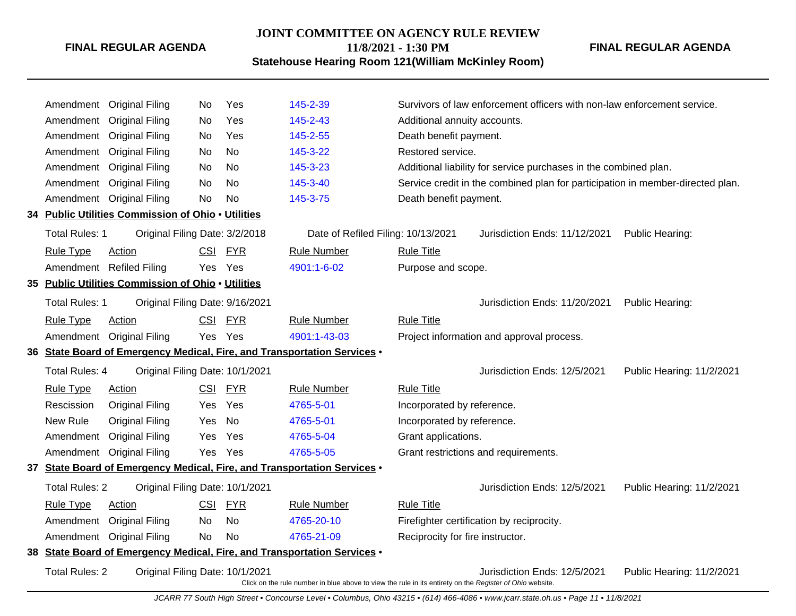#### **JOINT COMMITTEE ON AGENCY RULE REVIEW**

**11/8/2021 - 1:30 PM**

### **Statehouse Hearing Room 121(William McKinley Room)**

**FINAL REGULAR AGENDA**

| Amendment             | <b>Original Filing</b>                             | No         | Yes        | 145-2-39                                                                                                 |                                  | Survivors of law enforcement officers with non-law enforcement service.        |                           |
|-----------------------|----------------------------------------------------|------------|------------|----------------------------------------------------------------------------------------------------------|----------------------------------|--------------------------------------------------------------------------------|---------------------------|
| Amendment             | <b>Original Filing</b>                             | No.        | Yes        | 145-2-43                                                                                                 | Additional annuity accounts.     |                                                                                |                           |
| Amendment             | <b>Original Filing</b>                             | No.        | Yes        | 145-2-55                                                                                                 | Death benefit payment.           |                                                                                |                           |
| Amendment             | <b>Original Filing</b>                             | No         | <b>No</b>  | 145-3-22                                                                                                 | Restored service.                |                                                                                |                           |
| Amendment             | <b>Original Filing</b>                             | No         | No         | 145-3-23                                                                                                 |                                  | Additional liability for service purchases in the combined plan.               |                           |
| Amendment             | <b>Original Filing</b>                             | No         | <b>No</b>  | 145-3-40                                                                                                 |                                  | Service credit in the combined plan for participation in member-directed plan. |                           |
| Amendment             | <b>Original Filing</b>                             | No         | <b>No</b>  | 145-3-75                                                                                                 | Death benefit payment.           |                                                                                |                           |
|                       | 34 Public Utilities Commission of Ohio . Utilities |            |            |                                                                                                          |                                  |                                                                                |                           |
| Total Rules: 1        | Original Filing Date: 3/2/2018                     |            |            | Date of Refiled Filing: 10/13/2021                                                                       |                                  | Jurisdiction Ends: 11/12/2021                                                  | Public Hearing:           |
| <b>Rule Type</b>      | Action                                             | <b>CSI</b> | <u>FYR</u> | Rule Number                                                                                              | <b>Rule Title</b>                |                                                                                |                           |
|                       | Amendment Refiled Filing                           | Yes        | Yes        | 4901:1-6-02                                                                                              | Purpose and scope.               |                                                                                |                           |
|                       | 35 Public Utilities Commission of Ohio . Utilities |            |            |                                                                                                          |                                  |                                                                                |                           |
| <b>Total Rules: 1</b> | Original Filing Date: 9/16/2021                    |            |            |                                                                                                          |                                  | Jurisdiction Ends: 11/20/2021                                                  | Public Hearing:           |
| <b>Rule Type</b>      | Action                                             | <b>CSI</b> | <b>FYR</b> | <b>Rule Number</b>                                                                                       | <b>Rule Title</b>                |                                                                                |                           |
|                       | Amendment Original Filing                          | Yes        | Yes        | 4901:1-43-03                                                                                             |                                  | Project information and approval process.                                      |                           |
|                       |                                                    |            |            | 36 State Board of Emergency Medical, Fire, and Transportation Services .                                 |                                  |                                                                                |                           |
| Total Rules: 4        | Original Filing Date: 10/1/2021                    |            |            |                                                                                                          |                                  | Jurisdiction Ends: 12/5/2021                                                   | Public Hearing: 11/2/2021 |
| <b>Rule Type</b>      | Action                                             |            | CSI FYR    | <b>Rule Number</b>                                                                                       | <b>Rule Title</b>                |                                                                                |                           |
| Rescission            | <b>Original Filing</b>                             | Yes        | Yes        | 4765-5-01                                                                                                | Incorporated by reference.       |                                                                                |                           |
| New Rule              | <b>Original Filing</b>                             | <b>Yes</b> | <b>No</b>  | 4765-5-01                                                                                                | Incorporated by reference.       |                                                                                |                           |
| Amendment             | <b>Original Filing</b>                             | <b>Yes</b> | Yes        | 4765-5-04                                                                                                | Grant applications.              |                                                                                |                           |
| Amendment             | <b>Original Filing</b>                             | Yes        | Yes        | 4765-5-05                                                                                                |                                  | Grant restrictions and requirements.                                           |                           |
|                       |                                                    |            |            | 37 State Board of Emergency Medical, Fire, and Transportation Services .                                 |                                  |                                                                                |                           |
| <b>Total Rules: 2</b> | Original Filing Date: 10/1/2021                    |            |            |                                                                                                          |                                  | Jurisdiction Ends: 12/5/2021                                                   | Public Hearing: 11/2/2021 |
| <b>Rule Type</b>      | Action                                             | CSI        | <b>FYR</b> | <b>Rule Number</b>                                                                                       | <b>Rule Title</b>                |                                                                                |                           |
| Amendment             | <b>Original Filing</b>                             | No.        | No         | 4765-20-10                                                                                               |                                  | Firefighter certification by reciprocity.                                      |                           |
|                       | Amendment Original Filing                          | No         | <b>No</b>  | 4765-21-09                                                                                               | Reciprocity for fire instructor. |                                                                                |                           |
|                       |                                                    |            |            | 38 State Board of Emergency Medical, Fire, and Transportation Services .                                 |                                  |                                                                                |                           |
| <b>Total Rules: 2</b> | Original Filing Date: 10/1/2021                    |            |            | Click on the rule number in blue above to view the rule in its entirety on the Register of Ohio website. |                                  | Jurisdiction Ends: 12/5/2021                                                   | Public Hearing: 11/2/2021 |

JCARR 77 South High Street • Concourse Level • Columbus, Ohio 43215 • (614) 466-4086 • www.jcarr.state.oh.us • Page 11 • 11/8/2021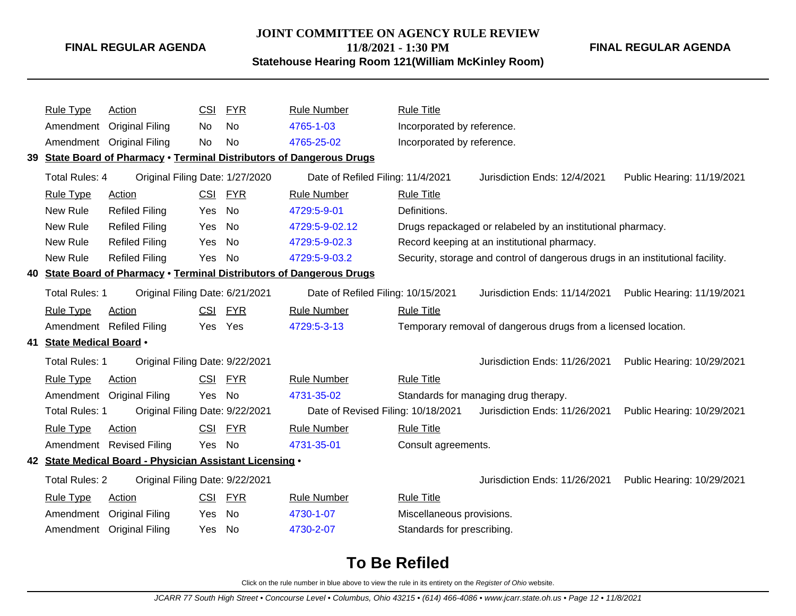## **JOINT COMMITTEE ON AGENCY RULE REVIEW**

**11/8/2021 - 1:30 PM**

#### **Statehouse Hearing Room 121(William McKinley Room)**

**FINAL REGULAR AGENDA**

| <b>Rule Type</b>         | Action                                                   | <b>CSI</b> | <b>FYR</b> | Rule Number                                                           | <b>Rule Title</b>          |                                                                                |                            |
|--------------------------|----------------------------------------------------------|------------|------------|-----------------------------------------------------------------------|----------------------------|--------------------------------------------------------------------------------|----------------------------|
| Amendment                | <b>Original Filing</b>                                   | No.        | No         | 4765-1-03                                                             | Incorporated by reference. |                                                                                |                            |
| Amendment                | <b>Original Filing</b>                                   | No         | No         | 4765-25-02                                                            | Incorporated by reference. |                                                                                |                            |
|                          |                                                          |            |            | 39 State Board of Pharmacy . Terminal Distributors of Dangerous Drugs |                            |                                                                                |                            |
| Total Rules: 4           | Original Filing Date: 1/27/2020                          |            |            | Date of Refiled Filing: 11/4/2021                                     |                            | Jurisdiction Ends: 12/4/2021                                                   | Public Hearing: 11/19/2021 |
| <b>Rule Type</b>         | <b>Action</b>                                            |            | CSI FYR    | <b>Rule Number</b>                                                    | <b>Rule Title</b>          |                                                                                |                            |
| New Rule                 | <b>Refiled Filing</b>                                    | Yes        | No         | 4729:5-9-01                                                           | Definitions.               |                                                                                |                            |
| New Rule                 | <b>Refiled Filing</b>                                    | Yes        | No         | 4729:5-9-02.12                                                        |                            | Drugs repackaged or relabeled by an institutional pharmacy.                    |                            |
| New Rule                 | <b>Refiled Filing</b>                                    | Yes        | No         | 4729:5-9-02.3                                                         |                            | Record keeping at an institutional pharmacy.                                   |                            |
| New Rule                 | <b>Refiled Filing</b>                                    | Yes        | No         | 4729:5-9-03.2                                                         |                            | Security, storage and control of dangerous drugs in an institutional facility. |                            |
|                          |                                                          |            |            | 40 State Board of Pharmacy . Terminal Distributors of Dangerous Drugs |                            |                                                                                |                            |
| Total Rules: 1           | Original Filing Date: 6/21/2021                          |            |            | Date of Refiled Filing: 10/15/2021                                    |                            | Jurisdiction Ends: 11/14/2021                                                  | Public Hearing: 11/19/2021 |
| <b>Rule Type</b>         | Action                                                   |            | CSI FYR    | <b>Rule Number</b>                                                    | <b>Rule Title</b>          |                                                                                |                            |
|                          | Amendment Refiled Filing                                 |            | Yes Yes    | 4729:5-3-13                                                           |                            | Temporary removal of dangerous drugs from a licensed location.                 |                            |
| 41 State Medical Board . |                                                          |            |            |                                                                       |                            |                                                                                |                            |
| Total Rules: 1           | Original Filing Date: 9/22/2021                          |            |            |                                                                       |                            | Jurisdiction Ends: 11/26/2021                                                  | Public Hearing: 10/29/2021 |
| <b>Rule Type</b>         | Action                                                   | <b>CSI</b> | <u>FYR</u> | <b>Rule Number</b>                                                    | <b>Rule Title</b>          |                                                                                |                            |
| Amendment                | <b>Original Filing</b>                                   | Yes        | No         | 4731-35-02                                                            |                            | Standards for managing drug therapy.                                           |                            |
| Total Rules: 1           | Original Filing Date: 9/22/2021                          |            |            | Date of Revised Filing: 10/18/2021                                    |                            | Jurisdiction Ends: 11/26/2021                                                  | Public Hearing: 10/29/2021 |
| <b>Rule Type</b>         | Action                                                   | <b>CSI</b> | <b>FYR</b> | <b>Rule Number</b>                                                    | <b>Rule Title</b>          |                                                                                |                            |
|                          | Amendment Revised Filing                                 | Yes        | No         | 4731-35-01                                                            | Consult agreements.        |                                                                                |                            |
|                          | 42 State Medical Board - Physician Assistant Licensing . |            |            |                                                                       |                            |                                                                                |                            |
| <b>Total Rules: 2</b>    | Original Filing Date: 9/22/2021                          |            |            |                                                                       |                            | Jurisdiction Ends: 11/26/2021                                                  | Public Hearing: 10/29/2021 |
| <b>Rule Type</b>         | <b>Action</b>                                            |            | CSI FYR    | <b>Rule Number</b>                                                    | <b>Rule Title</b>          |                                                                                |                            |
| Amendment                | <b>Original Filing</b>                                   | Yes        | No         | 4730-1-07                                                             | Miscellaneous provisions.  |                                                                                |                            |
| Amendment                | <b>Original Filing</b>                                   | Yes        | <b>No</b>  | 4730-2-07                                                             | Standards for prescribing. |                                                                                |                            |
|                          |                                                          |            |            |                                                                       |                            |                                                                                |                            |

# **To Be Refiled**